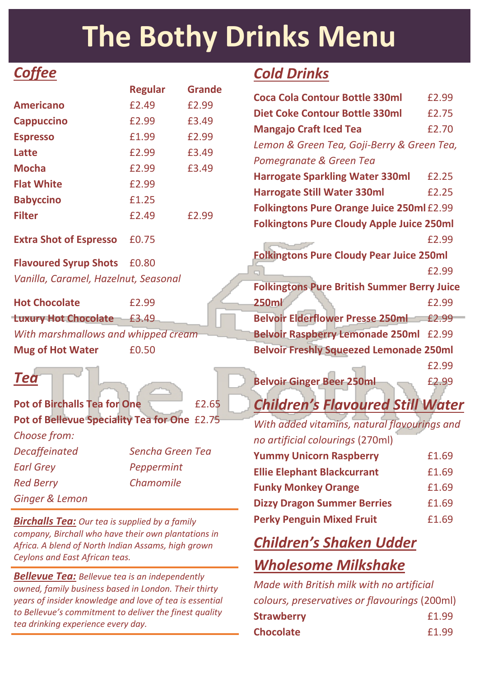## **The Bothy Drinks Menu**

## *Coffee*

|                                      | <b>Regular</b> | <b>Grande</b> |
|--------------------------------------|----------------|---------------|
| <b>Americano</b>                     | £2.49          | £2.99         |
| <b>Cappuccino</b>                    | £2.99          | £3.49         |
| <b>Espresso</b>                      | £1.99          | £2.99         |
| Latte                                | £2.99          | £3.49         |
| <b>Mocha</b>                         | £2.99          | £3.49         |
| <b>Flat White</b>                    | £2.99          |               |
| <b>Babyccino</b>                     | £1.25          |               |
| <b>Filter</b>                        | £2.49          | £2.99         |
| <b>Extra Shot of Espresso</b>        | £0.75          |               |
| <b>Flavoured Syrup Shots</b>         | £0.80          |               |
| Vanilla, Caramel, Hazelnut, Seasonal |                |               |
| <b>Hot Chocolate</b>                 | £2.99          |               |

**Luxury Hot Chocolate** £3.49 *With marshmallows and whipped cream* **Mug of Hot Water E0.50** 

### *Tea*

**Pot of Birchalls Tea for One** £2.65 **Pot of Bellevue Speciality Tea for One** £2.75 *Choose from: Decaffeinated Sencha Green Tea Earl Grey Peppermint Red Berry Chamomile Ginger & Lemon*

*Birchalls Tea: Our tea is supplied by a family company, Birchall who have their own plantations in Africa. A blend of North Indian Assams, high grown Ceylons and East African teas.*

*Bellevue Tea: Bellevue tea is an independently owned, family business based in London. Their thirty years of insider knowledge and love of tea is essential to Bellevue's commitment to deliver the finest quality tea drinking experience every day.*

## *Cold Drinks*

| <b>Coca Cola Contour Bottle 330ml</b>              | £2.99 |
|----------------------------------------------------|-------|
| <b>Diet Coke Contour Bottle 330ml</b>              | £2.75 |
| <b>Mangajo Craft Iced Tea</b>                      | £2.70 |
| Lemon & Green Tea, Goji-Berry & Green Tea,         |       |
| Pomegranate & Green Tea                            |       |
| <b>Harrogate Sparkling Water 330ml</b>             | £2.25 |
| <b>Harrogate Still Water 330ml</b>                 | £2.25 |
| <b>Folkingtons Pure Orange Juice 250ml £2.99</b>   |       |
| <b>Folkingtons Pure Cloudy Apple Juice 250ml</b>   |       |
|                                                    | £2.99 |
| <b>Folkingtons Pure Cloudy Pear Juice 250ml</b>    |       |
|                                                    | £2.99 |
| <b>Folkingtons Pure British Summer Berry Juice</b> |       |
| <b>250ml</b>                                       | £2.99 |
| <b>Belvoir Elderflower Presse 250ml</b>            | £2.99 |
| <b>Belvoir Raspberry Lemonade 250ml</b>            | £2.99 |
| <b>Belvoir Freshly Squeezed Lemonade 250ml</b>     |       |
|                                                    | £2.99 |
| <b>Belvoir Ginger Beer 250ml</b>                   | £2.99 |
|                                                    |       |

## *Children's Flavoured Still Water*

| With added vitamins, natural flavourings and |       |
|----------------------------------------------|-------|
| no artificial colourings (270ml)             |       |
| <b>Yummy Unicorn Raspberry</b>               | £1.69 |
| <b>Ellie Elephant Blackcurrant</b>           | £1.69 |
| <b>Funky Monkey Orange</b>                   | £1.69 |
| <b>Dizzy Dragon Summer Berries</b>           | £1.69 |
| <b>Perky Penguin Mixed Fruit</b>             | £1.69 |

## *Children's Shaken Udder Wholesome Milkshake*

*Made with British milk with no artificial colours, preservatives or flavourings* (200ml) **Strawberry E1.99 Chocolate**  $f1.99$